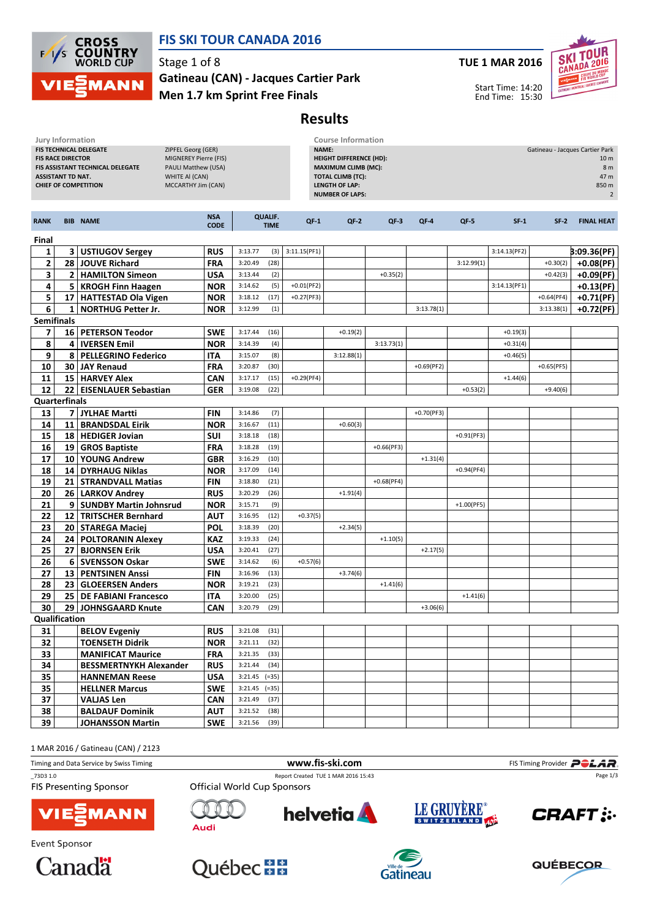

## FIS SKI TOUR CANADA 2016

Stage 1 of 8

### Men 1.7 km Sprint Free Finals Gatineau (CAN) - Jacques Cartier Park

#### TUE 1 MAR 2016



Start Time: 14:20 End Time: 15:30

# Results

| FIS TECHNICAL DELEGATE<br>NAME:<br>ZIPFEL Georg (GER)<br>Gatineau - Jacques Cartier Park<br>MIGNEREY Pierre (FIS)<br><b>FIS RACE DIRECTOR</b><br><b>HEIGHT DIFFERENCE (HD):</b><br>PAULI Matthew (USA)<br><b>MAXIMUM CLIMB (MC):</b><br>FIS ASSISTANT TECHNICAL DELEGATE<br><b>ASSISTANT TD NAT.</b><br>WHITE AI (CAN)<br><b>TOTAL CLIMB (TC):</b><br>MCCARTHY Jim (CAN)<br><b>LENGTH OF LAP:</b><br><b>CHIEF OF COMPETITION</b><br><b>NUMBER OF LAPS:</b><br><b>NSA</b><br><b>QUALIF.</b><br>$QF-2$<br><b>RANK</b><br><b>BIB NAME</b><br>$QF-1$<br>$QF-3$<br>$QF-4$<br>QF-5<br>$SF-1$<br>$SF-2$<br><b>CODE</b><br><b>TIME</b><br>Final<br>1<br>3   USTIUGOV Sergey<br><b>RUS</b><br>3:13.77<br>3:11.15(PF1)<br>3:14.13(PF2)<br>(3)<br>2<br>28 JOUVE Richard<br><b>FRA</b><br>(28)<br>3:12.99(1)<br>$+0.30(2)$<br>3:20.49<br>3<br>2   HAMILTON Simeon<br><b>USA</b><br>3:13.44<br>(2)<br>$+0.35(2)$<br>$+0.42(3)$<br>4<br>5   KROGH Finn Haagen<br>(5)<br><b>NOR</b><br>$+0.01$ (PF2)<br>3:14.62<br>3:14.13(PF1)<br>5<br>17 HATTESTAD Ola Vigen<br>(17)<br>$+0.27(PF3)$<br><b>NOR</b><br>3:18.12<br>$+0.64(PF4)$<br>6<br><b>NORTHUG Petter Jr.</b><br>1<br><b>NOR</b><br>3:12.99<br>(1)<br>3:13.78(1)<br>3:13.38(1)<br><b>Semifinals</b><br>7<br>16   PETERSON Teodor<br><b>SWE</b><br>3:17.44<br>(16)<br>$+0.19(2)$<br>$+0.19(3)$<br>8<br>(4)<br>4   IVERSEN Emil<br><b>NOR</b><br>3:14.39<br>3:13.73(1)<br>$+0.31(4)$<br>9<br>8 PELLEGRINO Federico<br><b>ITA</b><br>3:15.07<br>(8)<br>3:12.88(1)<br>$+0.46(5)$<br>10<br>30 JAY Renaud<br><b>FRA</b><br>3:20.87<br>(30)<br>$+0.69(PF2)$<br>$+0.65(PF5)$<br>11<br>15 HARVEY Alex<br><b>CAN</b><br>3:17.17<br>(15)<br>$+0.29(PF4)$<br>$+1.44(6)$<br>12<br>22   EISENLAUER Sebastian<br><b>GER</b><br>3:19.08<br>(22)<br>$+0.53(2)$<br>$+9.40(6)$<br>Quarterfinals<br>13<br>7   JYLHAE Martti<br><b>FIN</b><br>(7)<br>$+0.70(PF3)$<br>3:14.86<br>14<br>11   BRANDSDAL Eirik<br><b>NOR</b><br>(11)<br>3:16.67<br>$+0.60(3)$<br>15<br>SUI<br>18   HEDIGER Jovian<br>(18)<br>$+0.91(PF3)$<br>3:18.18<br>16<br>19 GROS Baptiste<br><b>FRA</b><br>(19)<br>3:18.28<br>$+0.66(PF3)$<br>17<br>10 YOUNG Andrew<br><b>GBR</b><br>(10)<br>3:16.29<br>$+1.31(4)$<br>18<br>14   DYRHAUG Niklas<br><b>NOR</b><br>3:17.09<br>(14)<br>$+0.94(PF4)$<br>19<br>21   STRANDVALL Matias<br><b>FIN</b><br>(21)<br>3:18.80<br>$+0.68(PF4)$<br>20<br><b>RUS</b><br>26   LARKOV Andrey<br>3:20.29<br>(26)<br>$+1.91(4)$<br>21<br>9   SUNDBY Martin Johnsrud<br><b>NOR</b><br>3:15.71<br>(9)<br>$+1.00(PF5)$<br>22<br>12   TRITSCHER Bernhard<br>(12)<br><b>AUT</b><br>3:16.95<br>$+0.37(5)$<br>23<br>POL<br>20   STAREGA Maciej<br>3:18.39<br>(20)<br>$+2.34(5)$<br>24<br>24   POLTORANIN Alexey<br><b>KAZ</b><br>(24)<br>3:19.33<br>$+1.10(5)$<br>25<br>27   BJORNSEN Erik<br><b>USA</b><br>(27)<br>3:20.41<br>$+2.17(5)$<br>26<br>6   SVENSSON Oskar<br><b>SWE</b><br>(6)<br>3:14.62<br>$+0.57(6)$<br>27<br>13   PENTSINEN Anssi<br><b>FIN</b><br>(13)<br>3:16.96<br>$+3.74(6)$<br>28<br>23 GLOEERSEN Anders<br><b>NOR</b><br>(23)<br>3:19.21<br>$+1.41(6)$<br>29<br>25   DE FABIANI Francesco<br>ITA<br>3:20.00<br>(25)<br>$+1.41(6)$<br>30<br>29   JOHNSGAARD Knute<br><b>CAN</b><br>3:20.79<br>(29)<br>$+3.06(6)$<br>Qualification<br><b>BELOV Evgeniy</b><br><b>RUS</b><br>31<br>$3:21.08$ (31)<br>32<br><b>TOENSETH Didrik</b><br><b>NOR</b><br>$3:21.11$ (32)<br>33<br>(33)<br><b>FRA</b><br>3:21.35<br><b>MANIFICAT Maurice</b><br>34<br>(34)<br><b>BESSMERTNYKH Alexander</b><br><b>RUS</b><br>3:21.44<br>35<br><b>USA</b><br>$3:21.45$ (=35)<br><b>HANNEMAN Reese</b><br>35<br><b>HELLNER Marcus</b><br><b>SWE</b><br>$3:21.45$ (=35)<br>37<br>(37)<br><b>VALIAS Len</b><br><b>CAN</b><br>3:21.49<br>38<br>(38)<br><b>BALDAUF Dominik</b><br><b>AUT</b><br>3:21.52 | <b>Course Information</b><br>Jury Information |  |                         |     |         |      |  |  |  |  |  |  |                                                                      |                   |
|-----------------------------------------------------------------------------------------------------------------------------------------------------------------------------------------------------------------------------------------------------------------------------------------------------------------------------------------------------------------------------------------------------------------------------------------------------------------------------------------------------------------------------------------------------------------------------------------------------------------------------------------------------------------------------------------------------------------------------------------------------------------------------------------------------------------------------------------------------------------------------------------------------------------------------------------------------------------------------------------------------------------------------------------------------------------------------------------------------------------------------------------------------------------------------------------------------------------------------------------------------------------------------------------------------------------------------------------------------------------------------------------------------------------------------------------------------------------------------------------------------------------------------------------------------------------------------------------------------------------------------------------------------------------------------------------------------------------------------------------------------------------------------------------------------------------------------------------------------------------------------------------------------------------------------------------------------------------------------------------------------------------------------------------------------------------------------------------------------------------------------------------------------------------------------------------------------------------------------------------------------------------------------------------------------------------------------------------------------------------------------------------------------------------------------------------------------------------------------------------------------------------------------------------------------------------------------------------------------------------------------------------------------------------------------------------------------------------------------------------------------------------------------------------------------------------------------------------------------------------------------------------------------------------------------------------------------------------------------------------------------------------------------------------------------------------------------------------------------------------------------------------------------------------------------------------------------------------------------------------------------------------------------------------------------------------------------------------------------------------------------------------------------------------------------------------------------------------------------------------------------------------------------------------------------------------------------------------------------------------------------------------------------------------------------------------------------------------------------------------------------------------------------------------------------|-----------------------------------------------|--|-------------------------|-----|---------|------|--|--|--|--|--|--|----------------------------------------------------------------------|-------------------|
|                                                                                                                                                                                                                                                                                                                                                                                                                                                                                                                                                                                                                                                                                                                                                                                                                                                                                                                                                                                                                                                                                                                                                                                                                                                                                                                                                                                                                                                                                                                                                                                                                                                                                                                                                                                                                                                                                                                                                                                                                                                                                                                                                                                                                                                                                                                                                                                                                                                                                                                                                                                                                                                                                                                                                                                                                                                                                                                                                                                                                                                                                                                                                                                                                                                                                                                                                                                                                                                                                                                                                                                                                                                                                                                                                                                                     |                                               |  |                         |     |         |      |  |  |  |  |  |  | 10 <sub>m</sub><br>8 <sub>m</sub><br>47 m<br>850 m<br>$\overline{2}$ |                   |
|                                                                                                                                                                                                                                                                                                                                                                                                                                                                                                                                                                                                                                                                                                                                                                                                                                                                                                                                                                                                                                                                                                                                                                                                                                                                                                                                                                                                                                                                                                                                                                                                                                                                                                                                                                                                                                                                                                                                                                                                                                                                                                                                                                                                                                                                                                                                                                                                                                                                                                                                                                                                                                                                                                                                                                                                                                                                                                                                                                                                                                                                                                                                                                                                                                                                                                                                                                                                                                                                                                                                                                                                                                                                                                                                                                                                     |                                               |  |                         |     |         |      |  |  |  |  |  |  |                                                                      | <b>FINAL HEAT</b> |
|                                                                                                                                                                                                                                                                                                                                                                                                                                                                                                                                                                                                                                                                                                                                                                                                                                                                                                                                                                                                                                                                                                                                                                                                                                                                                                                                                                                                                                                                                                                                                                                                                                                                                                                                                                                                                                                                                                                                                                                                                                                                                                                                                                                                                                                                                                                                                                                                                                                                                                                                                                                                                                                                                                                                                                                                                                                                                                                                                                                                                                                                                                                                                                                                                                                                                                                                                                                                                                                                                                                                                                                                                                                                                                                                                                                                     |                                               |  |                         |     |         |      |  |  |  |  |  |  |                                                                      |                   |
|                                                                                                                                                                                                                                                                                                                                                                                                                                                                                                                                                                                                                                                                                                                                                                                                                                                                                                                                                                                                                                                                                                                                                                                                                                                                                                                                                                                                                                                                                                                                                                                                                                                                                                                                                                                                                                                                                                                                                                                                                                                                                                                                                                                                                                                                                                                                                                                                                                                                                                                                                                                                                                                                                                                                                                                                                                                                                                                                                                                                                                                                                                                                                                                                                                                                                                                                                                                                                                                                                                                                                                                                                                                                                                                                                                                                     |                                               |  |                         |     |         |      |  |  |  |  |  |  |                                                                      | B:09.36(PF)       |
|                                                                                                                                                                                                                                                                                                                                                                                                                                                                                                                                                                                                                                                                                                                                                                                                                                                                                                                                                                                                                                                                                                                                                                                                                                                                                                                                                                                                                                                                                                                                                                                                                                                                                                                                                                                                                                                                                                                                                                                                                                                                                                                                                                                                                                                                                                                                                                                                                                                                                                                                                                                                                                                                                                                                                                                                                                                                                                                                                                                                                                                                                                                                                                                                                                                                                                                                                                                                                                                                                                                                                                                                                                                                                                                                                                                                     |                                               |  |                         |     |         |      |  |  |  |  |  |  |                                                                      | $+0.08(PF)$       |
|                                                                                                                                                                                                                                                                                                                                                                                                                                                                                                                                                                                                                                                                                                                                                                                                                                                                                                                                                                                                                                                                                                                                                                                                                                                                                                                                                                                                                                                                                                                                                                                                                                                                                                                                                                                                                                                                                                                                                                                                                                                                                                                                                                                                                                                                                                                                                                                                                                                                                                                                                                                                                                                                                                                                                                                                                                                                                                                                                                                                                                                                                                                                                                                                                                                                                                                                                                                                                                                                                                                                                                                                                                                                                                                                                                                                     |                                               |  |                         |     |         |      |  |  |  |  |  |  |                                                                      | $+0.09(PF)$       |
|                                                                                                                                                                                                                                                                                                                                                                                                                                                                                                                                                                                                                                                                                                                                                                                                                                                                                                                                                                                                                                                                                                                                                                                                                                                                                                                                                                                                                                                                                                                                                                                                                                                                                                                                                                                                                                                                                                                                                                                                                                                                                                                                                                                                                                                                                                                                                                                                                                                                                                                                                                                                                                                                                                                                                                                                                                                                                                                                                                                                                                                                                                                                                                                                                                                                                                                                                                                                                                                                                                                                                                                                                                                                                                                                                                                                     |                                               |  |                         |     |         |      |  |  |  |  |  |  |                                                                      | $+0.13(PF)$       |
|                                                                                                                                                                                                                                                                                                                                                                                                                                                                                                                                                                                                                                                                                                                                                                                                                                                                                                                                                                                                                                                                                                                                                                                                                                                                                                                                                                                                                                                                                                                                                                                                                                                                                                                                                                                                                                                                                                                                                                                                                                                                                                                                                                                                                                                                                                                                                                                                                                                                                                                                                                                                                                                                                                                                                                                                                                                                                                                                                                                                                                                                                                                                                                                                                                                                                                                                                                                                                                                                                                                                                                                                                                                                                                                                                                                                     |                                               |  |                         |     |         |      |  |  |  |  |  |  |                                                                      | $+0.71(PF)$       |
|                                                                                                                                                                                                                                                                                                                                                                                                                                                                                                                                                                                                                                                                                                                                                                                                                                                                                                                                                                                                                                                                                                                                                                                                                                                                                                                                                                                                                                                                                                                                                                                                                                                                                                                                                                                                                                                                                                                                                                                                                                                                                                                                                                                                                                                                                                                                                                                                                                                                                                                                                                                                                                                                                                                                                                                                                                                                                                                                                                                                                                                                                                                                                                                                                                                                                                                                                                                                                                                                                                                                                                                                                                                                                                                                                                                                     |                                               |  |                         |     |         |      |  |  |  |  |  |  |                                                                      | +0.72(PF)         |
|                                                                                                                                                                                                                                                                                                                                                                                                                                                                                                                                                                                                                                                                                                                                                                                                                                                                                                                                                                                                                                                                                                                                                                                                                                                                                                                                                                                                                                                                                                                                                                                                                                                                                                                                                                                                                                                                                                                                                                                                                                                                                                                                                                                                                                                                                                                                                                                                                                                                                                                                                                                                                                                                                                                                                                                                                                                                                                                                                                                                                                                                                                                                                                                                                                                                                                                                                                                                                                                                                                                                                                                                                                                                                                                                                                                                     |                                               |  |                         |     |         |      |  |  |  |  |  |  |                                                                      |                   |
|                                                                                                                                                                                                                                                                                                                                                                                                                                                                                                                                                                                                                                                                                                                                                                                                                                                                                                                                                                                                                                                                                                                                                                                                                                                                                                                                                                                                                                                                                                                                                                                                                                                                                                                                                                                                                                                                                                                                                                                                                                                                                                                                                                                                                                                                                                                                                                                                                                                                                                                                                                                                                                                                                                                                                                                                                                                                                                                                                                                                                                                                                                                                                                                                                                                                                                                                                                                                                                                                                                                                                                                                                                                                                                                                                                                                     |                                               |  |                         |     |         |      |  |  |  |  |  |  |                                                                      |                   |
|                                                                                                                                                                                                                                                                                                                                                                                                                                                                                                                                                                                                                                                                                                                                                                                                                                                                                                                                                                                                                                                                                                                                                                                                                                                                                                                                                                                                                                                                                                                                                                                                                                                                                                                                                                                                                                                                                                                                                                                                                                                                                                                                                                                                                                                                                                                                                                                                                                                                                                                                                                                                                                                                                                                                                                                                                                                                                                                                                                                                                                                                                                                                                                                                                                                                                                                                                                                                                                                                                                                                                                                                                                                                                                                                                                                                     |                                               |  |                         |     |         |      |  |  |  |  |  |  |                                                                      |                   |
|                                                                                                                                                                                                                                                                                                                                                                                                                                                                                                                                                                                                                                                                                                                                                                                                                                                                                                                                                                                                                                                                                                                                                                                                                                                                                                                                                                                                                                                                                                                                                                                                                                                                                                                                                                                                                                                                                                                                                                                                                                                                                                                                                                                                                                                                                                                                                                                                                                                                                                                                                                                                                                                                                                                                                                                                                                                                                                                                                                                                                                                                                                                                                                                                                                                                                                                                                                                                                                                                                                                                                                                                                                                                                                                                                                                                     |                                               |  |                         |     |         |      |  |  |  |  |  |  |                                                                      |                   |
|                                                                                                                                                                                                                                                                                                                                                                                                                                                                                                                                                                                                                                                                                                                                                                                                                                                                                                                                                                                                                                                                                                                                                                                                                                                                                                                                                                                                                                                                                                                                                                                                                                                                                                                                                                                                                                                                                                                                                                                                                                                                                                                                                                                                                                                                                                                                                                                                                                                                                                                                                                                                                                                                                                                                                                                                                                                                                                                                                                                                                                                                                                                                                                                                                                                                                                                                                                                                                                                                                                                                                                                                                                                                                                                                                                                                     |                                               |  |                         |     |         |      |  |  |  |  |  |  |                                                                      |                   |
|                                                                                                                                                                                                                                                                                                                                                                                                                                                                                                                                                                                                                                                                                                                                                                                                                                                                                                                                                                                                                                                                                                                                                                                                                                                                                                                                                                                                                                                                                                                                                                                                                                                                                                                                                                                                                                                                                                                                                                                                                                                                                                                                                                                                                                                                                                                                                                                                                                                                                                                                                                                                                                                                                                                                                                                                                                                                                                                                                                                                                                                                                                                                                                                                                                                                                                                                                                                                                                                                                                                                                                                                                                                                                                                                                                                                     |                                               |  |                         |     |         |      |  |  |  |  |  |  |                                                                      |                   |
|                                                                                                                                                                                                                                                                                                                                                                                                                                                                                                                                                                                                                                                                                                                                                                                                                                                                                                                                                                                                                                                                                                                                                                                                                                                                                                                                                                                                                                                                                                                                                                                                                                                                                                                                                                                                                                                                                                                                                                                                                                                                                                                                                                                                                                                                                                                                                                                                                                                                                                                                                                                                                                                                                                                                                                                                                                                                                                                                                                                                                                                                                                                                                                                                                                                                                                                                                                                                                                                                                                                                                                                                                                                                                                                                                                                                     |                                               |  |                         |     |         |      |  |  |  |  |  |  |                                                                      |                   |
|                                                                                                                                                                                                                                                                                                                                                                                                                                                                                                                                                                                                                                                                                                                                                                                                                                                                                                                                                                                                                                                                                                                                                                                                                                                                                                                                                                                                                                                                                                                                                                                                                                                                                                                                                                                                                                                                                                                                                                                                                                                                                                                                                                                                                                                                                                                                                                                                                                                                                                                                                                                                                                                                                                                                                                                                                                                                                                                                                                                                                                                                                                                                                                                                                                                                                                                                                                                                                                                                                                                                                                                                                                                                                                                                                                                                     |                                               |  |                         |     |         |      |  |  |  |  |  |  |                                                                      |                   |
|                                                                                                                                                                                                                                                                                                                                                                                                                                                                                                                                                                                                                                                                                                                                                                                                                                                                                                                                                                                                                                                                                                                                                                                                                                                                                                                                                                                                                                                                                                                                                                                                                                                                                                                                                                                                                                                                                                                                                                                                                                                                                                                                                                                                                                                                                                                                                                                                                                                                                                                                                                                                                                                                                                                                                                                                                                                                                                                                                                                                                                                                                                                                                                                                                                                                                                                                                                                                                                                                                                                                                                                                                                                                                                                                                                                                     |                                               |  |                         |     |         |      |  |  |  |  |  |  |                                                                      |                   |
|                                                                                                                                                                                                                                                                                                                                                                                                                                                                                                                                                                                                                                                                                                                                                                                                                                                                                                                                                                                                                                                                                                                                                                                                                                                                                                                                                                                                                                                                                                                                                                                                                                                                                                                                                                                                                                                                                                                                                                                                                                                                                                                                                                                                                                                                                                                                                                                                                                                                                                                                                                                                                                                                                                                                                                                                                                                                                                                                                                                                                                                                                                                                                                                                                                                                                                                                                                                                                                                                                                                                                                                                                                                                                                                                                                                                     |                                               |  |                         |     |         |      |  |  |  |  |  |  |                                                                      |                   |
|                                                                                                                                                                                                                                                                                                                                                                                                                                                                                                                                                                                                                                                                                                                                                                                                                                                                                                                                                                                                                                                                                                                                                                                                                                                                                                                                                                                                                                                                                                                                                                                                                                                                                                                                                                                                                                                                                                                                                                                                                                                                                                                                                                                                                                                                                                                                                                                                                                                                                                                                                                                                                                                                                                                                                                                                                                                                                                                                                                                                                                                                                                                                                                                                                                                                                                                                                                                                                                                                                                                                                                                                                                                                                                                                                                                                     |                                               |  |                         |     |         |      |  |  |  |  |  |  |                                                                      |                   |
|                                                                                                                                                                                                                                                                                                                                                                                                                                                                                                                                                                                                                                                                                                                                                                                                                                                                                                                                                                                                                                                                                                                                                                                                                                                                                                                                                                                                                                                                                                                                                                                                                                                                                                                                                                                                                                                                                                                                                                                                                                                                                                                                                                                                                                                                                                                                                                                                                                                                                                                                                                                                                                                                                                                                                                                                                                                                                                                                                                                                                                                                                                                                                                                                                                                                                                                                                                                                                                                                                                                                                                                                                                                                                                                                                                                                     |                                               |  |                         |     |         |      |  |  |  |  |  |  |                                                                      |                   |
|                                                                                                                                                                                                                                                                                                                                                                                                                                                                                                                                                                                                                                                                                                                                                                                                                                                                                                                                                                                                                                                                                                                                                                                                                                                                                                                                                                                                                                                                                                                                                                                                                                                                                                                                                                                                                                                                                                                                                                                                                                                                                                                                                                                                                                                                                                                                                                                                                                                                                                                                                                                                                                                                                                                                                                                                                                                                                                                                                                                                                                                                                                                                                                                                                                                                                                                                                                                                                                                                                                                                                                                                                                                                                                                                                                                                     |                                               |  |                         |     |         |      |  |  |  |  |  |  |                                                                      |                   |
|                                                                                                                                                                                                                                                                                                                                                                                                                                                                                                                                                                                                                                                                                                                                                                                                                                                                                                                                                                                                                                                                                                                                                                                                                                                                                                                                                                                                                                                                                                                                                                                                                                                                                                                                                                                                                                                                                                                                                                                                                                                                                                                                                                                                                                                                                                                                                                                                                                                                                                                                                                                                                                                                                                                                                                                                                                                                                                                                                                                                                                                                                                                                                                                                                                                                                                                                                                                                                                                                                                                                                                                                                                                                                                                                                                                                     |                                               |  |                         |     |         |      |  |  |  |  |  |  |                                                                      |                   |
|                                                                                                                                                                                                                                                                                                                                                                                                                                                                                                                                                                                                                                                                                                                                                                                                                                                                                                                                                                                                                                                                                                                                                                                                                                                                                                                                                                                                                                                                                                                                                                                                                                                                                                                                                                                                                                                                                                                                                                                                                                                                                                                                                                                                                                                                                                                                                                                                                                                                                                                                                                                                                                                                                                                                                                                                                                                                                                                                                                                                                                                                                                                                                                                                                                                                                                                                                                                                                                                                                                                                                                                                                                                                                                                                                                                                     |                                               |  |                         |     |         |      |  |  |  |  |  |  |                                                                      |                   |
|                                                                                                                                                                                                                                                                                                                                                                                                                                                                                                                                                                                                                                                                                                                                                                                                                                                                                                                                                                                                                                                                                                                                                                                                                                                                                                                                                                                                                                                                                                                                                                                                                                                                                                                                                                                                                                                                                                                                                                                                                                                                                                                                                                                                                                                                                                                                                                                                                                                                                                                                                                                                                                                                                                                                                                                                                                                                                                                                                                                                                                                                                                                                                                                                                                                                                                                                                                                                                                                                                                                                                                                                                                                                                                                                                                                                     |                                               |  |                         |     |         |      |  |  |  |  |  |  |                                                                      |                   |
|                                                                                                                                                                                                                                                                                                                                                                                                                                                                                                                                                                                                                                                                                                                                                                                                                                                                                                                                                                                                                                                                                                                                                                                                                                                                                                                                                                                                                                                                                                                                                                                                                                                                                                                                                                                                                                                                                                                                                                                                                                                                                                                                                                                                                                                                                                                                                                                                                                                                                                                                                                                                                                                                                                                                                                                                                                                                                                                                                                                                                                                                                                                                                                                                                                                                                                                                                                                                                                                                                                                                                                                                                                                                                                                                                                                                     |                                               |  |                         |     |         |      |  |  |  |  |  |  |                                                                      |                   |
|                                                                                                                                                                                                                                                                                                                                                                                                                                                                                                                                                                                                                                                                                                                                                                                                                                                                                                                                                                                                                                                                                                                                                                                                                                                                                                                                                                                                                                                                                                                                                                                                                                                                                                                                                                                                                                                                                                                                                                                                                                                                                                                                                                                                                                                                                                                                                                                                                                                                                                                                                                                                                                                                                                                                                                                                                                                                                                                                                                                                                                                                                                                                                                                                                                                                                                                                                                                                                                                                                                                                                                                                                                                                                                                                                                                                     |                                               |  |                         |     |         |      |  |  |  |  |  |  |                                                                      |                   |
|                                                                                                                                                                                                                                                                                                                                                                                                                                                                                                                                                                                                                                                                                                                                                                                                                                                                                                                                                                                                                                                                                                                                                                                                                                                                                                                                                                                                                                                                                                                                                                                                                                                                                                                                                                                                                                                                                                                                                                                                                                                                                                                                                                                                                                                                                                                                                                                                                                                                                                                                                                                                                                                                                                                                                                                                                                                                                                                                                                                                                                                                                                                                                                                                                                                                                                                                                                                                                                                                                                                                                                                                                                                                                                                                                                                                     |                                               |  |                         |     |         |      |  |  |  |  |  |  |                                                                      |                   |
|                                                                                                                                                                                                                                                                                                                                                                                                                                                                                                                                                                                                                                                                                                                                                                                                                                                                                                                                                                                                                                                                                                                                                                                                                                                                                                                                                                                                                                                                                                                                                                                                                                                                                                                                                                                                                                                                                                                                                                                                                                                                                                                                                                                                                                                                                                                                                                                                                                                                                                                                                                                                                                                                                                                                                                                                                                                                                                                                                                                                                                                                                                                                                                                                                                                                                                                                                                                                                                                                                                                                                                                                                                                                                                                                                                                                     |                                               |  |                         |     |         |      |  |  |  |  |  |  |                                                                      |                   |
|                                                                                                                                                                                                                                                                                                                                                                                                                                                                                                                                                                                                                                                                                                                                                                                                                                                                                                                                                                                                                                                                                                                                                                                                                                                                                                                                                                                                                                                                                                                                                                                                                                                                                                                                                                                                                                                                                                                                                                                                                                                                                                                                                                                                                                                                                                                                                                                                                                                                                                                                                                                                                                                                                                                                                                                                                                                                                                                                                                                                                                                                                                                                                                                                                                                                                                                                                                                                                                                                                                                                                                                                                                                                                                                                                                                                     |                                               |  |                         |     |         |      |  |  |  |  |  |  |                                                                      |                   |
|                                                                                                                                                                                                                                                                                                                                                                                                                                                                                                                                                                                                                                                                                                                                                                                                                                                                                                                                                                                                                                                                                                                                                                                                                                                                                                                                                                                                                                                                                                                                                                                                                                                                                                                                                                                                                                                                                                                                                                                                                                                                                                                                                                                                                                                                                                                                                                                                                                                                                                                                                                                                                                                                                                                                                                                                                                                                                                                                                                                                                                                                                                                                                                                                                                                                                                                                                                                                                                                                                                                                                                                                                                                                                                                                                                                                     |                                               |  |                         |     |         |      |  |  |  |  |  |  |                                                                      |                   |
|                                                                                                                                                                                                                                                                                                                                                                                                                                                                                                                                                                                                                                                                                                                                                                                                                                                                                                                                                                                                                                                                                                                                                                                                                                                                                                                                                                                                                                                                                                                                                                                                                                                                                                                                                                                                                                                                                                                                                                                                                                                                                                                                                                                                                                                                                                                                                                                                                                                                                                                                                                                                                                                                                                                                                                                                                                                                                                                                                                                                                                                                                                                                                                                                                                                                                                                                                                                                                                                                                                                                                                                                                                                                                                                                                                                                     |                                               |  |                         |     |         |      |  |  |  |  |  |  |                                                                      |                   |
|                                                                                                                                                                                                                                                                                                                                                                                                                                                                                                                                                                                                                                                                                                                                                                                                                                                                                                                                                                                                                                                                                                                                                                                                                                                                                                                                                                                                                                                                                                                                                                                                                                                                                                                                                                                                                                                                                                                                                                                                                                                                                                                                                                                                                                                                                                                                                                                                                                                                                                                                                                                                                                                                                                                                                                                                                                                                                                                                                                                                                                                                                                                                                                                                                                                                                                                                                                                                                                                                                                                                                                                                                                                                                                                                                                                                     |                                               |  |                         |     |         |      |  |  |  |  |  |  |                                                                      |                   |
|                                                                                                                                                                                                                                                                                                                                                                                                                                                                                                                                                                                                                                                                                                                                                                                                                                                                                                                                                                                                                                                                                                                                                                                                                                                                                                                                                                                                                                                                                                                                                                                                                                                                                                                                                                                                                                                                                                                                                                                                                                                                                                                                                                                                                                                                                                                                                                                                                                                                                                                                                                                                                                                                                                                                                                                                                                                                                                                                                                                                                                                                                                                                                                                                                                                                                                                                                                                                                                                                                                                                                                                                                                                                                                                                                                                                     |                                               |  |                         |     |         |      |  |  |  |  |  |  |                                                                      |                   |
|                                                                                                                                                                                                                                                                                                                                                                                                                                                                                                                                                                                                                                                                                                                                                                                                                                                                                                                                                                                                                                                                                                                                                                                                                                                                                                                                                                                                                                                                                                                                                                                                                                                                                                                                                                                                                                                                                                                                                                                                                                                                                                                                                                                                                                                                                                                                                                                                                                                                                                                                                                                                                                                                                                                                                                                                                                                                                                                                                                                                                                                                                                                                                                                                                                                                                                                                                                                                                                                                                                                                                                                                                                                                                                                                                                                                     |                                               |  |                         |     |         |      |  |  |  |  |  |  |                                                                      |                   |
|                                                                                                                                                                                                                                                                                                                                                                                                                                                                                                                                                                                                                                                                                                                                                                                                                                                                                                                                                                                                                                                                                                                                                                                                                                                                                                                                                                                                                                                                                                                                                                                                                                                                                                                                                                                                                                                                                                                                                                                                                                                                                                                                                                                                                                                                                                                                                                                                                                                                                                                                                                                                                                                                                                                                                                                                                                                                                                                                                                                                                                                                                                                                                                                                                                                                                                                                                                                                                                                                                                                                                                                                                                                                                                                                                                                                     |                                               |  |                         |     |         |      |  |  |  |  |  |  |                                                                      |                   |
|                                                                                                                                                                                                                                                                                                                                                                                                                                                                                                                                                                                                                                                                                                                                                                                                                                                                                                                                                                                                                                                                                                                                                                                                                                                                                                                                                                                                                                                                                                                                                                                                                                                                                                                                                                                                                                                                                                                                                                                                                                                                                                                                                                                                                                                                                                                                                                                                                                                                                                                                                                                                                                                                                                                                                                                                                                                                                                                                                                                                                                                                                                                                                                                                                                                                                                                                                                                                                                                                                                                                                                                                                                                                                                                                                                                                     |                                               |  |                         |     |         |      |  |  |  |  |  |  |                                                                      |                   |
|                                                                                                                                                                                                                                                                                                                                                                                                                                                                                                                                                                                                                                                                                                                                                                                                                                                                                                                                                                                                                                                                                                                                                                                                                                                                                                                                                                                                                                                                                                                                                                                                                                                                                                                                                                                                                                                                                                                                                                                                                                                                                                                                                                                                                                                                                                                                                                                                                                                                                                                                                                                                                                                                                                                                                                                                                                                                                                                                                                                                                                                                                                                                                                                                                                                                                                                                                                                                                                                                                                                                                                                                                                                                                                                                                                                                     |                                               |  |                         |     |         |      |  |  |  |  |  |  |                                                                      |                   |
|                                                                                                                                                                                                                                                                                                                                                                                                                                                                                                                                                                                                                                                                                                                                                                                                                                                                                                                                                                                                                                                                                                                                                                                                                                                                                                                                                                                                                                                                                                                                                                                                                                                                                                                                                                                                                                                                                                                                                                                                                                                                                                                                                                                                                                                                                                                                                                                                                                                                                                                                                                                                                                                                                                                                                                                                                                                                                                                                                                                                                                                                                                                                                                                                                                                                                                                                                                                                                                                                                                                                                                                                                                                                                                                                                                                                     |                                               |  |                         |     |         |      |  |  |  |  |  |  |                                                                      |                   |
|                                                                                                                                                                                                                                                                                                                                                                                                                                                                                                                                                                                                                                                                                                                                                                                                                                                                                                                                                                                                                                                                                                                                                                                                                                                                                                                                                                                                                                                                                                                                                                                                                                                                                                                                                                                                                                                                                                                                                                                                                                                                                                                                                                                                                                                                                                                                                                                                                                                                                                                                                                                                                                                                                                                                                                                                                                                                                                                                                                                                                                                                                                                                                                                                                                                                                                                                                                                                                                                                                                                                                                                                                                                                                                                                                                                                     |                                               |  |                         |     |         |      |  |  |  |  |  |  |                                                                      |                   |
|                                                                                                                                                                                                                                                                                                                                                                                                                                                                                                                                                                                                                                                                                                                                                                                                                                                                                                                                                                                                                                                                                                                                                                                                                                                                                                                                                                                                                                                                                                                                                                                                                                                                                                                                                                                                                                                                                                                                                                                                                                                                                                                                                                                                                                                                                                                                                                                                                                                                                                                                                                                                                                                                                                                                                                                                                                                                                                                                                                                                                                                                                                                                                                                                                                                                                                                                                                                                                                                                                                                                                                                                                                                                                                                                                                                                     |                                               |  |                         |     |         |      |  |  |  |  |  |  |                                                                      |                   |
|                                                                                                                                                                                                                                                                                                                                                                                                                                                                                                                                                                                                                                                                                                                                                                                                                                                                                                                                                                                                                                                                                                                                                                                                                                                                                                                                                                                                                                                                                                                                                                                                                                                                                                                                                                                                                                                                                                                                                                                                                                                                                                                                                                                                                                                                                                                                                                                                                                                                                                                                                                                                                                                                                                                                                                                                                                                                                                                                                                                                                                                                                                                                                                                                                                                                                                                                                                                                                                                                                                                                                                                                                                                                                                                                                                                                     |                                               |  |                         |     |         |      |  |  |  |  |  |  |                                                                      |                   |
|                                                                                                                                                                                                                                                                                                                                                                                                                                                                                                                                                                                                                                                                                                                                                                                                                                                                                                                                                                                                                                                                                                                                                                                                                                                                                                                                                                                                                                                                                                                                                                                                                                                                                                                                                                                                                                                                                                                                                                                                                                                                                                                                                                                                                                                                                                                                                                                                                                                                                                                                                                                                                                                                                                                                                                                                                                                                                                                                                                                                                                                                                                                                                                                                                                                                                                                                                                                                                                                                                                                                                                                                                                                                                                                                                                                                     |                                               |  |                         |     |         |      |  |  |  |  |  |  |                                                                      |                   |
|                                                                                                                                                                                                                                                                                                                                                                                                                                                                                                                                                                                                                                                                                                                                                                                                                                                                                                                                                                                                                                                                                                                                                                                                                                                                                                                                                                                                                                                                                                                                                                                                                                                                                                                                                                                                                                                                                                                                                                                                                                                                                                                                                                                                                                                                                                                                                                                                                                                                                                                                                                                                                                                                                                                                                                                                                                                                                                                                                                                                                                                                                                                                                                                                                                                                                                                                                                                                                                                                                                                                                                                                                                                                                                                                                                                                     | 39                                            |  | <b>JOHANSSON Martin</b> | SWE | 3:21.56 | (39) |  |  |  |  |  |  |                                                                      |                   |

1 MAR 2016 / Gatineau (CAN) / 2123

Timing and Data Service by Swiss Timing **Filter and Data Service by Swiss Timing Provider** \_73D3 1.0 Report Created TUE 1 MAR 2016 15:43 Page 1/3**Official World Cup Sponsors FIS Presenting Sponsor** LE GRUYÈRE® **helvetia CRAFT: MANN Audi** Event Sponsor







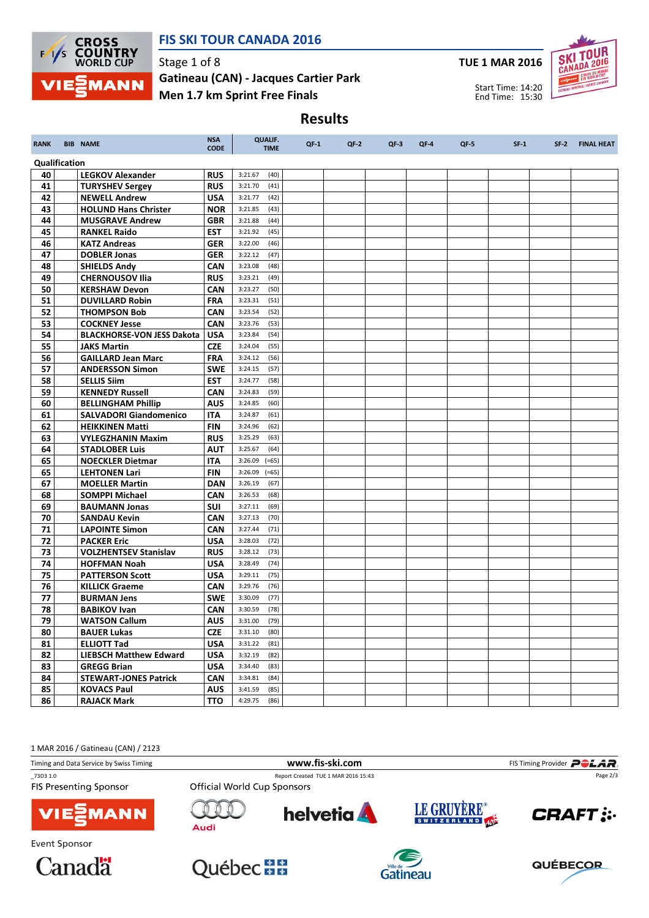

## FIS SKI TOUR CANADA 2016

Stage 1 of 8 Men 1.7 km Sprint Free Finals Gatineau (CAN) - Jacques Cartier Park TUE 1 MAR 2016



Start Time: 14:20 End Time: 15:30

RANK BIB NAME NAME NEWSALE CODE QUALIF. TIME QF-1 QF-2 QF-3 QF-4 QF-5 SF-1 SF-2 FINAL HEAT Qualification 40 LEGKOV Alexander RUS 3:21.67 (40) 41 TURYSHEV Sergey RUS 3:21.70 (41) **42 NEWELL Andrew USA** 3:21.77 (42)<br> **43 HOLUND Hans Christer NOR** 3:21.85 (43) 43 HOLUND Hans Christer NOR **44 MUSGRAVE Andrew GBR** 3:21.88 (44) **45 RANKEL Raido EST** 3:21.92 (45) **46 KATZ Andreas** GER 3:22.00 (46) **47 DOBLER Jonas GER** 3:22.12 (47)<br>**48 SHIELDS Andy CAN** 3:23.08 (48) **48 SHIELDS Andy CAN** 3:23.08 **49 CHERNOUSOV Ilia** RUS 3:23.21 (49) **50 KERSHAW Devon CAN** 3:23.27 (50) **51 DUVILLARD Robin** FRA 3:23.31 (51) **52 THOMPSON Bob** CAN 3:23.54 (52) **53** COCKNEY Jesse CAN 3:23.76 (53) 54 BLACKHORSE-VON JESS Dakota USA 3:23.84 (54) **55 JAKS Martin CZE** 3:24.04 (55) **56 GAILLARD Jean Marc FRA** 3:24.12 (56) **57 ANDERSSON Simon** SWE 3:24.15 (57) **58 SELLIS Siim EST** 3:24.77 (58) **59 KENNEDY Russell CAN** 3:24.83 (59) **60 BELLINGHAM Phillip | AUS** | 3:24.85 (60) 61 SALVADORI Giandomenico ITA 3:24.87 (61)<br>62 HEIKKINEN Matti EIN 3:24.96 (62) 62 HEIKKINEN Matti<br>63 WYLEGZHANIN Maxim RIJS 3:25.29 (63) 63 VYLEGZHANIN Maxim RUS 3:25.29 (63) **64 STADLOBER Luis AUT** 3:25.67 (64) 65 NOECKLER Dietmar 1TA 3:26.09 (=65)<br>65 LEHTONEN Lari FIN 3:26.09 (=65) 65 LEHTONEN Lari FIN 3:26.09<br>67 MOELLER Martin DAN 3:26.19 **67 MOELLER Martin DAN** 3:26.19 (67) 68 | SOMPPI Michael | CAN | 3:26.53 (68) 69 BAUMANN Jonas SUI 3:27.11 (69)<br>70 SANDAU Kevin CAN 3:27.13 (70) **70 SANDAU Kevin CAN 3:27.13**<br>**71 LAPOINTE Simon CAN 3:27.44 71 LAPOINTE Simon** CAN 3:27.44 (71) **72** PACKER Eric USA 3:28.03 (72) 73 VOLZHENTSEV Stanislav RUS 3:28.12 (73) 74 HOFFMAN Noah USA 3:28.49 (74) **75 PATTERSON Scott** USA 3:29.11 (75) **76 | KILLICK Graeme | CAN | 3:29.76 (76) 77 BURMAN Jens** SWE 3:30.09 (77) **78 BABIKOV Ivan CAN** 3:30.59 (78) **79 WATSON Callum AUS** 3:31.00 (79) 80 BAUER Lukas CZE 3:31.10 (80) 81 ELLIOTT Tad USA 3:31.22 (81) 82 LIEBSCH Matthew Edward USA 3:32.19 (82) 83 GREGG Brian **USA** 3:34.40 (83) 84 STEWART-JONES Patrick CAN 3:34.81 (84) 85 KOVACS Paul AUS 3:41.59 (85) **86 RAJACK Mark TTO** 4:29.75 (86)

Results

1 MAR 2016 / Gatineau (CAN) / 2123

Timing and Data Service by Swiss Timing **WWW.fis-Ski.com WWW.fis-Ski.com** FIS Timing Provider **PCLAR** \_73D3 1.0 Report Created TUE 1 MAR 2016 15:43 Page 2/3**FIS Presenting Sponsor Official World Cup Sponsors LE GRUYÈRE helvetia TESMANN CRAFT:** SWITZERLAND 100 Audi **Event Sponsor**